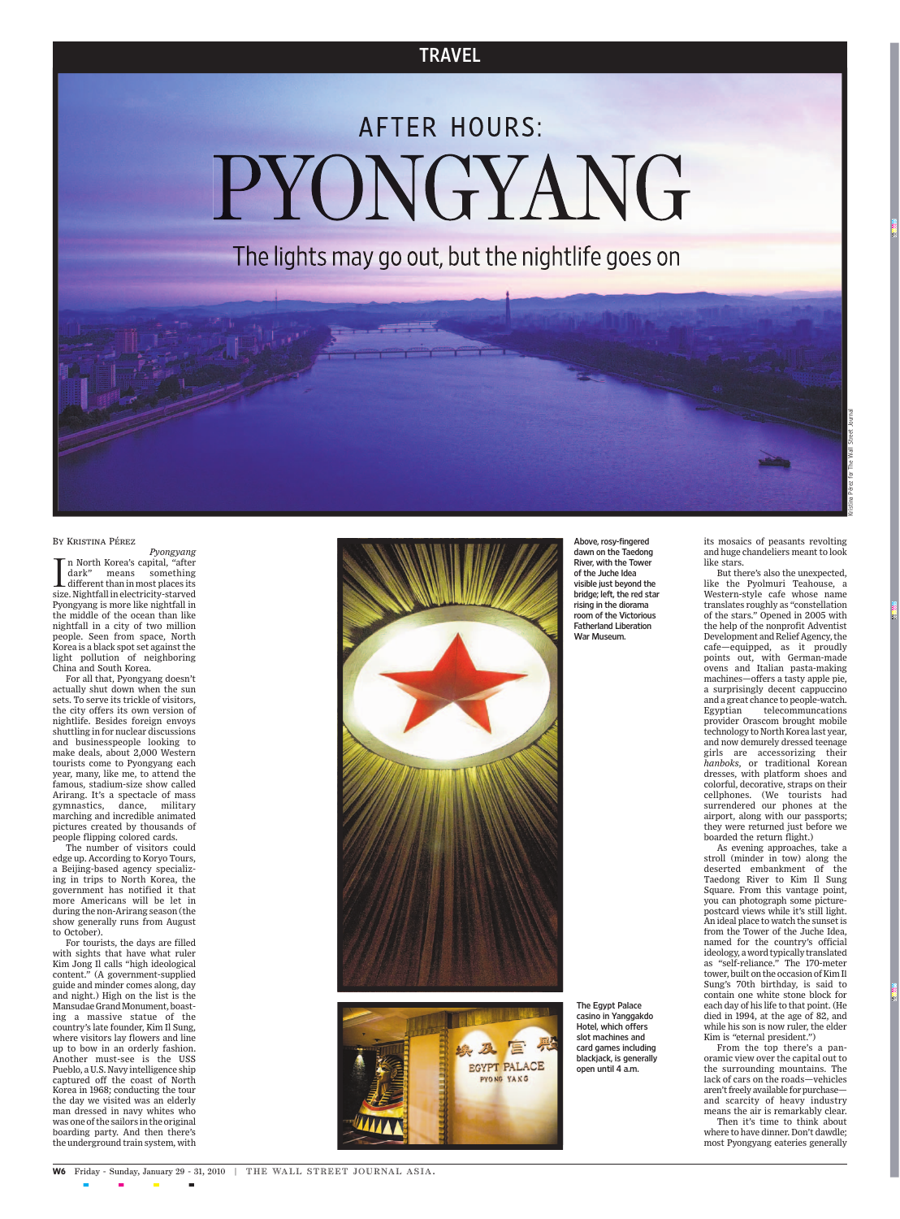## **TRAVEL**

## **AFTER HOURS:** PYONGYANG

The lights may go out, but the nightlife goes on

## By Kristina Pérez

 *Pyongyang* n North Korea's capital, "after In North Korea's capital, "after dark" means something<br>different than in most places its<br>size. Nightfall in electricity-starved dark" means something different than in most places its Pyongyang is more like nightfall in the middle of the ocean than like nightfall in a city of two million people. Seen from space, North Korea is a black spot set against the light pollution of neighboring China and South Korea.

For all that, Pyongyang doesn't actually shut down when the sun sets. To serve its trickle of visitors, the city offers its own version of nightlife. Besides foreign envoys shuttling in for nuclear discussions and businesspeople looking to make deals, about 2,000 Western tourists come to Pyongyang each year, many, like me, to attend the famous, stadium-size show called Arirang. It's a spectacle of mass gymnastics, dance, military marching and incredible animated pictures created by thousands of people flipping colored cards.

The number of visitors could edge up. According to Koryo Tours, a Beijing-based agency specializing in trips to North Korea, the government has notified it that more Americans will be let in during the non-Arirang season (the show generally runs from August to October).

For tourists, the days are filled with sights that have what ruler Kim Jong Il calls "high ideological content." (A government-supplied guide and minder comes along, day and night.) High on the list is the Mansudae Grand Monument, boasting a massive statue of the country's late founder, Kim Il Sung, where visitors lay flowers and line up to bow in an orderly fashion. Another must-see is the USS Pueblo, a U.S. Navy intelligence ship captured off the coast of North Korea in 1968; conducting the tour the day we visited was an elderly man dressed in navy whites who was one of the sailors in the original boarding party. And then there's the underground train system, with





**The Egypt Palace casino in Yanggakdo Hotel, which offers slot machines and card games including blackjack, is generally open until 4 a.m.**

**Above, rosy-fingered dawn on the Taedong River, with the Tower of the Juche Idea visible just beyond the bridge; left, the red star rising in the diorama room of the Victorious Fatherland Liberation**

**War Museum.**

its mosaics of peasants revolting and huge chandeliers meant to look

like stars.

But there's also the unexpected, like the Pyolmuri Teahouse, a Western-style cafe whose name translates roughly as "constellation of the stars." Opened in 2005 with the help of the nonprofit Adventist Development and Relief Agency, the cafe—equipped, as it proudly points out, with German-made ovens and Italian pasta-making machines—offers a tasty apple pie, a surprisingly decent cappuccino and a great chance to people-watch. Egyptian telecommuncations provider Orascom brought mobile technology to North Korea last year, and now demurely dressed teenage girls are accessorizing their *hanboks*, or traditional Korean dresses, with platform shoes and colorful, decorative, straps on their cellphones. (We tourists had surrendered our phones at the airport, along with our passports; they were returned just before we boarded the return flight.)

As evening approaches, take a stroll (minder in tow) along the deserted embankment of the Taedong River to Kim Il Sung Square. From this vantage point, you can photograph some picturepostcard views while it's still light. An ideal place to watch the sunsetis from the Tower of the Juche Idea, named for the country's official ideology, a word typically translated as "self-reliance." The 170-meter tower, built on the occasion of Kim Il Sung's 70th birthday, is said to contain one white stone block for each day of his life to that point. (He died in 1994, at the age of 82, and while his son is now ruler, the elder Kim is "eternal president.")

From the top there's a panoramic view over the capital out to the surrounding mountains. The lack of cars on the roads—vehicles aren't freely available for purchase and scarcity of heavy industry means the air is remarkably clear. Then it's time to think about where to have dinner. Don't dawdle; most Pyongyang eateries generally

Kristina Pérez for The Wall Street Journal